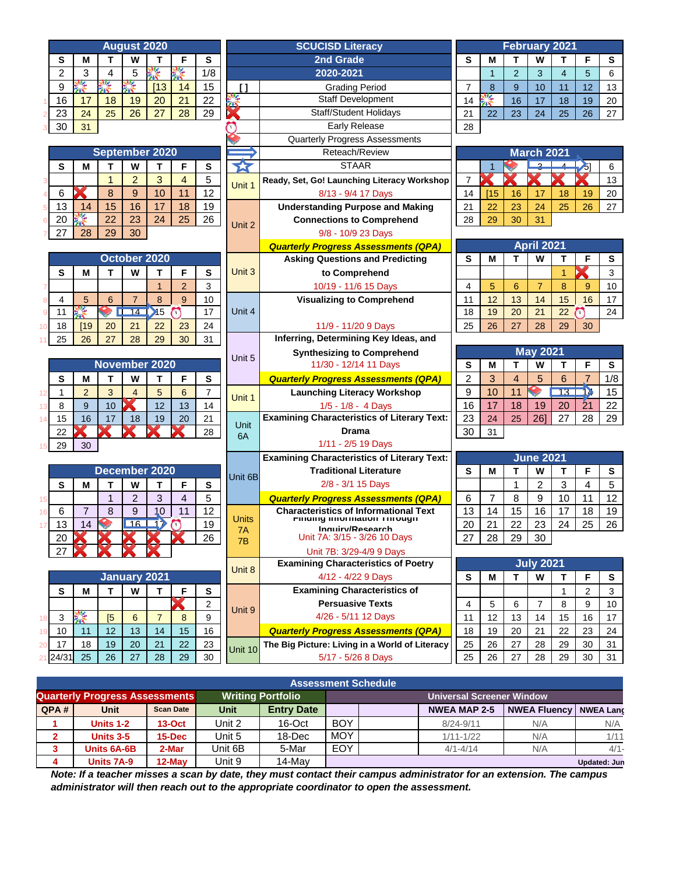| <b>August 2020</b>                                                                         | <b>SCUCISD Literacy</b> |                                                                                   |                | <b>February 2021</b> |                |                      |                 |                |          |
|--------------------------------------------------------------------------------------------|-------------------------|-----------------------------------------------------------------------------------|----------------|----------------------|----------------|----------------------|-----------------|----------------|----------|
| т<br>W<br>F<br>s<br>s<br>М<br>т                                                            |                         | 2nd Grade                                                                         | s              | M                    | т              | W                    | т               | F              | s        |
| 怪<br>٦ź.<br>$\overline{2}$<br>3<br>5<br>1/8<br>4                                           |                         | 2020-2021                                                                         |                | $\mathbf{1}$         | $\overline{2}$ | 3                    | $\overline{4}$  | 5              | 6        |
| 怪<br>警<br>ķ.<br>[13]<br>15<br>9<br>14                                                      | ſ 1                     | <b>Grading Period</b>                                                             | $\overline{7}$ | 8                    | 9              | 10                   | 11              | 12             | 13       |
| 22<br>16<br>17<br>18<br>19<br>20<br>21                                                     | <b>THE REAL</b>         | <b>Staff Development</b>                                                          | 14             | 悸                    | 16             | 17                   | 18              | 19             | 20       |
| 28<br>29<br>23<br>24<br>26<br>27<br>25                                                     |                         | <b>Staff/Student Holidays</b>                                                     | 21             | 22                   | 23             | 24                   | 25              | 26             | 27       |
| 30<br>31                                                                                   |                         | Early Release                                                                     | 28             |                      |                |                      |                 |                |          |
|                                                                                            |                         | <b>Quarterly Progress Assessments</b>                                             |                |                      |                |                      |                 |                |          |
| September 2020                                                                             |                         | Reteach/Review                                                                    |                |                      |                | <b>March 2021</b>    |                 |                |          |
| W<br>S<br>M<br>т<br>T<br>F<br>$\mathbf{s}$                                                 | 27                      | <b>STAAR</b>                                                                      |                | $\overline{1}$       |                | <u>e</u>             |                 | $\mathcal{S}$  | 6        |
| $\overline{2}$<br>3<br>$\overline{4}$<br>5<br>1                                            | Unit 1                  | Ready, Set, Go! Launching Literacy Workshop                                       | $\overline{7}$ |                      |                |                      |                 |                | 13       |
| 12<br>6<br>8<br>9<br>10<br>11                                                              |                         | 8/13 - 9/4 17 Days                                                                | 14<br>21       | [15]                 | 16             | 17                   | 18              | 19             | 20       |
| 13<br>18<br>19<br>15<br>16<br>17<br>14                                                     |                         | <b>Understanding Purpose and Making</b>                                           |                | 22                   | 23             | 24                   | 25              | 26             | 27       |
| Ķ<br>22<br>23<br>25<br>26<br>20<br>24                                                      | Unit 2                  | <b>Connections to Comprehend</b>                                                  | 28             | 29                   | 30             | 31                   |                 |                |          |
| 27<br>28<br>29<br>30                                                                       |                         | 9/8 - 10/9 23 Days                                                                |                |                      |                |                      |                 |                |          |
|                                                                                            |                         | <b>Quarterly Progress Assessments (QPA)</b>                                       |                |                      |                | <b>April 2021</b>    |                 |                |          |
| October 2020                                                                               |                         | <b>Asking Questions and Predicting</b>                                            | s              | м                    | т              | W                    | т               | F              | S        |
| S<br>W<br>T<br>F<br>S<br>М<br>т                                                            | Unit 3                  | to Comprehend                                                                     |                |                      |                |                      | 1               |                | 3        |
| $\overline{2}$<br>3<br>$\mathbf{1}$                                                        |                         | 10/19 - 11/6 15 Days                                                              | $\overline{4}$ | 5                    | 6              | $\overline{7}$       | 8               | 9              | 10       |
| 9<br>8<br>4<br>5<br>$\overline{7}$<br>10<br>6                                              |                         | <b>Visualizing to Comprehend</b>                                                  | 11             | 12                   | 13             | 14                   | 15              | 16             | 17       |
| ķ.<br>$\blacktriangleright$ 15<br>17<br>14<br>11<br>$\overline{\phantom{a}}$<br>$\sqrt{2}$ | Unit 4                  |                                                                                   | 18             | 19                   | 20             | 21                   | 22              | $\sqrt{2}$     | 24       |
| 18<br>21<br>22<br>23<br>24<br>[19]<br>20                                                   |                         | 11/9 - 11/20 9 Days                                                               | 25             | 26                   | 27             | 28                   | 29              | 30             |          |
| 25<br>30<br>31<br>26<br>27<br>28<br>29                                                     | Unit 5                  | Inferring, Determining Key Ideas, and<br><b>May 2021</b>                          |                |                      |                |                      |                 |                |          |
| November 2020                                                                              |                         | <b>Synthesizing to Comprehend</b><br>11/30 - 12/14 11 Days                        | s              | M                    | т              | W                    | Т               | F              |          |
| S<br>M<br>т<br>W<br>T<br>F                                                                 |                         |                                                                                   | $\overline{c}$ | 3                    | $\overline{4}$ | 5                    | 6               | $\overline{7}$ | s<br>1/8 |
| S<br>$\overline{2}$<br>3<br>5<br>6<br>$\overline{7}$<br>1<br>$\overline{4}$                |                         | <b>Quarterly Progress Assessments (QPA)</b><br><b>Launching Literacy Workshop</b> | 9              | 10                   | 11             | $\blacktriangledown$ | 13 <sup>2</sup> | Þ              | 15       |
| 12<br>8<br>9<br>10<br>12<br>13<br>14                                                       | Unit 1                  | 1/5 - 1/8 - 4 Days                                                                | 16             | 17                   | 18             | 19                   | 20              | 21             | 22       |
| 13<br>15<br>16<br>17<br>19<br>20<br>21<br>18<br>14                                         |                         | <b>Examining Characteristics of Literary Text:</b>                                |                | 24                   | 25             | 26]                  | 27              | 28             | 29       |
| 28<br>22                                                                                   | Unit                    | <b>Drama</b>                                                                      |                | 31                   |                |                      |                 |                |          |
| 29<br>30                                                                                   | 6A                      | 1/11 - 2/5 19 Days                                                                | 30             |                      |                |                      |                 |                |          |
|                                                                                            |                         | <b>Examining Characteristics of Literary Text:</b>                                |                |                      |                | <b>June 2021</b>     |                 |                |          |
| December 2020                                                                              |                         | <b>Traditional Literature</b>                                                     | S              | М                    | Т              | W                    | Т               | F              | S        |
| S<br>M<br>т<br>W<br>T<br>F<br>$\mathbf{s}$                                                 | Unit 6B                 | 2/8 - 3/1 15 Days                                                                 |                |                      | 1              | $\overline{2}$       | 3               | 4              | 5        |
| $\mathbf{1}$<br>$\overline{2}$<br>3<br>$\overline{4}$<br>5<br>15                           |                         | <b>Quarterly Progress Assessments (QPA)</b>                                       | 6              | $\overline{7}$       | 8              | 9                    | 10              | 11             | 12       |
| 12<br>6<br>$\overline{7}$<br>8<br>9<br>10<br>11<br>16                                      |                         | <b>Characteristics of Informational Text</b>                                      | 13             | 14                   | 15             | 16                   | 17              | 18             | 19       |
| 16   17<br>13<br>$\sqrt{2}$<br>19<br>14<br>17                                              | <b>Units</b>            | Finality information Through                                                      | 20             | 21                   | 22             | 23                   | 24              | 25             | 26       |
| 26<br>20<br><b>DK</b>                                                                      | 7A<br>7B                | Inguiry/Research<br>Unit 7A: 3/15 - 3/26 10 Days<br>Unit 7B: 3/29-4/9 9 Days      |                | 28                   | 29             | 30                   |                 |                |          |
| 27                                                                                         |                         |                                                                                   |                |                      |                |                      |                 |                |          |
|                                                                                            |                         | <b>Examining Characteristics of Poetry</b>                                        |                |                      |                | <b>July 2021</b>     |                 |                |          |
| <b>January 2021</b>                                                                        | Unit 8                  | 4/12 - 4/22 9 Days                                                                |                | М                    | т              | W                    | Т               | F              | S        |
| F<br>S<br>T<br>W<br>М<br>т<br>S                                                            |                         | <b>Examining Characteristics of</b>                                               |                |                      |                |                      | 1               | $\overline{2}$ | 3        |
| K<br>$\overline{2}$                                                                        | Unit 9                  | <b>Persuasive Texts</b>                                                           | 4              | 5                    | 6              | $\overline{7}$       | 8               | 9              | $10$     |
| 馨<br>3<br>9<br>[5]<br>6<br>$\overline{7}$<br>8<br>18                                       |                         | 4/26 - 5/11 12 Days                                                               |                | 12                   | 13             | 14                   | 15              | 16             | 17       |
| 12<br>15<br>16<br>10<br>13<br>11<br>14<br>19                                               |                         | <b>Quarterly Progress Assessments (QPA)</b>                                       | 11<br>18       | 19                   | 20             | 21                   | 22              | 23             | 24       |
| 22<br>17<br>18<br>19<br>20<br>21<br>23<br>20                                               | Unit 10                 | The Big Picture: Living in a World of Literacy                                    | 25             | 26                   | 27             | 28                   | 29              | 30             | 31       |
| 21 24/31<br>25<br>29<br>30<br>27<br>28<br>26                                               |                         | 5/17 - 5/26 8 Days                                                                | 25             | 26                   | 27             | 28                   | 29              | 30             | 31       |
|                                                                                            |                         |                                                                                   |                |                      |                |                      |                 |                |          |

| <b>Assessment Schedule</b>                                        |             |                  |             |                   |                                  |  |                     |                                 |                     |  |
|-------------------------------------------------------------------|-------------|------------------|-------------|-------------------|----------------------------------|--|---------------------|---------------------------------|---------------------|--|
| <b>Writing Portfolio</b><br><b>Quarterly Progress Assessments</b> |             |                  |             |                   | <b>Universal Screener Window</b> |  |                     |                                 |                     |  |
| QPA#                                                              | <b>Unit</b> | <b>Scan Date</b> | <b>Unit</b> | <b>Entry Date</b> |                                  |  | <b>NWEA MAP 2-5</b> | <b>NWEA Fluency   NWEA Lang</b> |                     |  |
|                                                                   | Units 1-2   | $13-Oct$         | Unit 2      | $16$ -Oct         | <b>BOY</b>                       |  | $8/24 - 9/11$       | N/A                             | N/A                 |  |
|                                                                   | Units 3-5   | $15$ -Dec        | Unit 5      | 18-Dec            | <b>MOY</b>                       |  | $1/11 - 1/22$       | N/A                             | 1/11                |  |
| 3                                                                 | Units 6A-6B | 2-Mar            | Unit 6B     | 5-Mar             | <b>EOY</b>                       |  | $4/1 - 4/14$        | N/A                             | $4/1 -$             |  |
|                                                                   | Units 7A-9  | $12$ -Mav        | Unit 9      | 14-Mav            |                                  |  |                     |                                 | <b>Updated: Jun</b> |  |

*Note: If a teacher misses a scan by date, they must contact their campus administrator for an extension. The campus administrator will then reach out to the appropriate coordinator to open the assessment.*